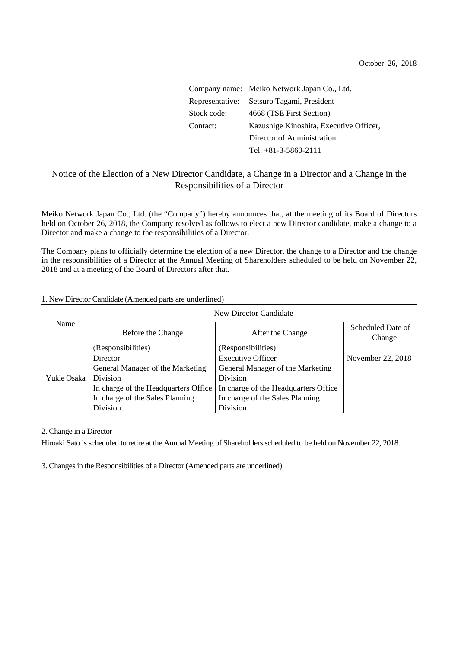|             | Company name: Meiko Network Japan Co., Ltd. |  |
|-------------|---------------------------------------------|--|
|             | Representative: Setsuro Tagami, President   |  |
| Stock code: | 4668 (TSE First Section)                    |  |
| Contact:    | Kazushige Kinoshita, Executive Officer,     |  |
|             | Director of Administration                  |  |
|             | Tel. $+81-3-5860-2111$                      |  |

## Notice of the Election of a New Director Candidate, a Change in a Director and a Change in the Responsibilities of a Director

Meiko Network Japan Co., Ltd. (the "Company") hereby announces that, at the meeting of its Board of Directors held on October 26, 2018, the Company resolved as follows to elect a new Director candidate, make a change to a Director and make a change to the responsibilities of a Director.

The Company plans to officially determine the election of a new Director, the change to a Director and the change in the responsibilities of a Director at the Annual Meeting of Shareholders scheduled to be held on November 22, 2018 and at a meeting of the Board of Directors after that.

## 1. New Director Candidate (Amended parts are underlined)

| Name        | New Director Candidate                                                                                 |                                                                                                        |                             |  |
|-------------|--------------------------------------------------------------------------------------------------------|--------------------------------------------------------------------------------------------------------|-----------------------------|--|
|             | Before the Change                                                                                      | After the Change                                                                                       | Scheduled Date of<br>Change |  |
| Yukie Osaka | (Responsibilities)<br>Director<br>General Manager of the Marketing                                     | (Responsibilities)<br><b>Executive Officer</b><br>General Manager of the Marketing                     | November 22, 2018           |  |
|             | <b>Division</b><br>In charge of the Headquarters Office<br>In charge of the Sales Planning<br>Division | <b>Division</b><br>In charge of the Headquarters Office<br>In charge of the Sales Planning<br>Division |                             |  |

2. Change in a Director

Hiroaki Sato is scheduled to retire at the Annual Meeting of Shareholders scheduled to be held on November 22, 2018.

3. Changes in the Responsibilities of a Director (Amended parts are underlined)